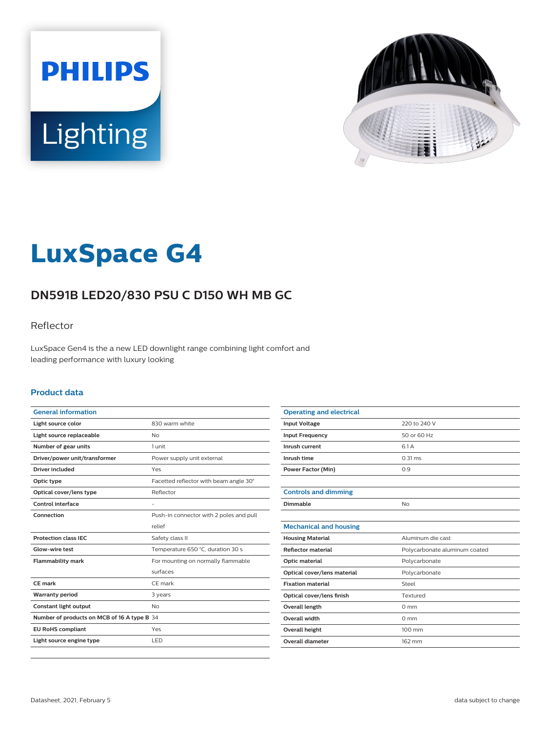



# **LuxSpace G4**

# **DN591B LED20/830 PSU C D150 WH MB GC**

### Reflector

LuxSpace Gen4 is the a new LED downlight range combining light comfort and leading performance with luxury looking

#### **Product data**

| <b>General information</b>                  |                                         |
|---------------------------------------------|-----------------------------------------|
| Light source color                          | 830 warm white                          |
| Light source replaceable                    | <b>No</b>                               |
| Number of gear units                        | 1 unit                                  |
| Driver/power unit/transformer               | Power supply unit external              |
| <b>Driver included</b>                      | Yes                                     |
| Optic type                                  | Facetted reflector with beam angle 30°  |
| Optical cover/lens type                     | Reflector                               |
| Control interface                           |                                         |
| Connection                                  | Push-in connector with 2 poles and pull |
|                                             | relief                                  |
| <b>Protection class IEC</b>                 | Safety class II                         |
| Glow-wire test                              | Temperature 650 °C, duration 30 s       |
| <b>Flammability mark</b>                    | For mounting on normally flammable      |
|                                             | surfaces                                |
| CF mark                                     | CE mark                                 |
| <b>Warranty period</b>                      | 3 years                                 |
| Constant light output                       | <b>No</b>                               |
| Number of products on MCB of 16 A type B 34 |                                         |
| <b>EU RoHS compliant</b>                    | Yes                                     |
| Light source engine type                    | LED                                     |
|                                             |                                         |

| <b>Operating and electrical</b> |                               |
|---------------------------------|-------------------------------|
| <b>Input Voltage</b>            | 220 to 240 V                  |
| <b>Input Frequency</b>          | 50 or 60 Hz                   |
| Inrush current                  | 6.1 A                         |
| Inrush time                     | $0.31$ ms                     |
| <b>Power Factor (Min)</b>       | 0.9                           |
|                                 |                               |
| <b>Controls and dimming</b>     |                               |
| Dimmable                        | No                            |
|                                 |                               |
| <b>Mechanical and housing</b>   |                               |
| <b>Housing Material</b>         | Aluminum die cast             |
| <b>Reflector material</b>       | Polycarbonate aluminum coated |
| Optic material                  | Polycarbonate                 |
| Optical cover/lens material     | Polycarbonate                 |
| <b>Fixation material</b>        | Steel                         |
| Optical cover/lens finish       | Textured                      |
| <b>Overall length</b>           | $0 \text{ mm}$                |
| <b>Overall width</b>            | $0 \text{ mm}$                |
| Overall height                  | 100 mm                        |
| Overall diameter                | 162 mm                        |
|                                 |                               |